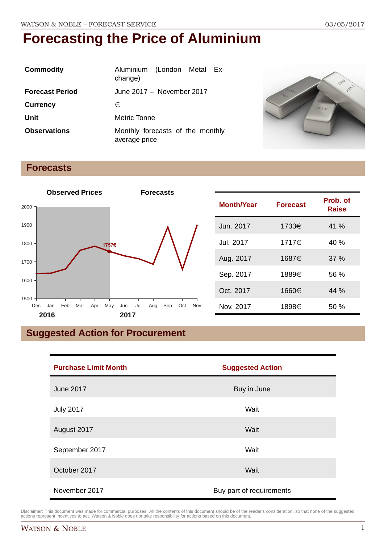| <b>Commodity</b>       | Aluminium (London Metal Ex-<br>change)            |
|------------------------|---------------------------------------------------|
| <b>Forecast Period</b> | June 2017 - November 2017                         |
| <b>Currency</b>        | €                                                 |
| Unit                   | Metric Tonne                                      |
| <b>Observations</b>    | Monthly forecasts of the monthly<br>average price |



#### **Forecasts**



## **Suggested Action for Procurement**

| <b>Purchase Limit Month</b> | <b>Suggested Action</b>  |
|-----------------------------|--------------------------|
| <b>June 2017</b>            | Buy in June              |
| <b>July 2017</b>            | Wait                     |
| August 2017                 | Wait                     |
| September 2017              | Wait                     |
| October 2017                | Wait                     |
| November 2017               | Buy part of requirements |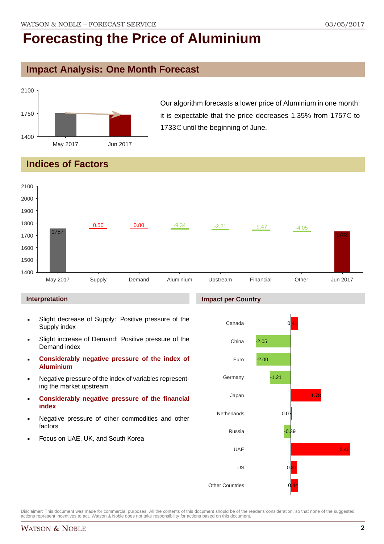## **Impact Analysis: One Month Forecast**



Our algorithm forecasts a lower price of Aluminium in one month: it is expectable that the price decreases 1.35% from 1757 $\in$  to 1733 $\in$  until the beginning of June.

### **Indices of Factors**



#### **Interpretation**

- Slight decrease of Supply: Positive pressure of the Supply index
- Slight increase of Demand: Positive pressure of the Demand index
- **Considerably negative pressure of the index of Aluminium**
- Negative pressure of the index of variables representing the market upstream
- **Considerably negative pressure of the financial index**
- Negative pressure of other commodities and other factors
- Focus on UAE, UK, and South Korea

#### **Impact per Country**

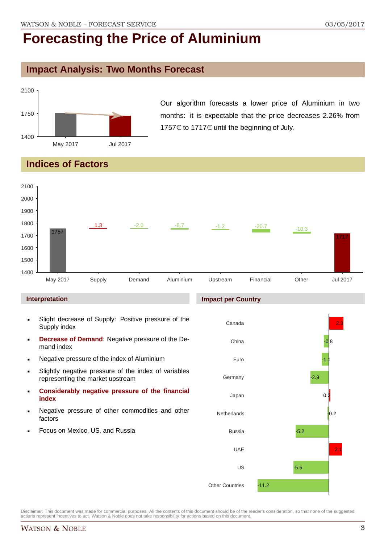#### **Impact Analysis: Two Months Forecast**



Our algorithm forecasts a lower price of Aluminium in two months: it is expectable that the price decreases 2.26% from 1757€ to 1717€ until the beginning of July.

### **Indices of Factors**



#### **Interpretation**

- Slight decrease of Supply: Positive pressure of the Supply index
- **Decrease of Demand**: Negative pressure of the Demand index
- Negative pressure of the index of Aluminium
- Slightly negative pressure of the index of variables representing the market upstream
- **Considerably negative pressure of the financial index**
- Negative pressure of other commodities and other factors
- Focus on Mexico, US, and Russia

#### **Impact per Country**

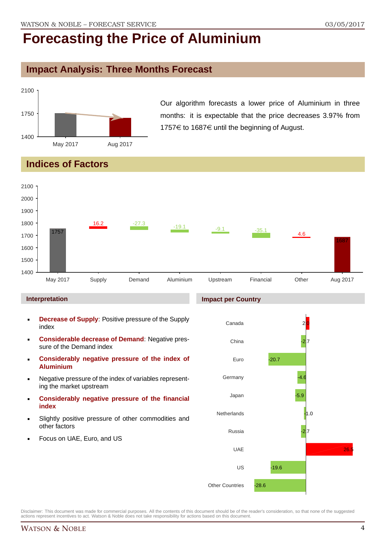#### **Impact Analysis: Three Months Forecast**



Our algorithm forecasts a lower price of Aluminium in three months: it is expectable that the price decreases 3.97% from 1757€ to 1687€ until the beginning of August.

### **Indices of Factors**



#### **Interpretation**

- **Decrease of Supply**: Positive pressure of the Supply index
- **Considerable decrease of Demand**: Negative pressure of the Demand index
- **Considerably negative pressure of the index of Aluminium**
- Negative pressure of the index of variables representing the market upstream
- **Considerably negative pressure of the financial index**
- Slightly positive pressure of other commodities and other factors
- Focus on UAE, Euro, and US

#### **Impact per Country**

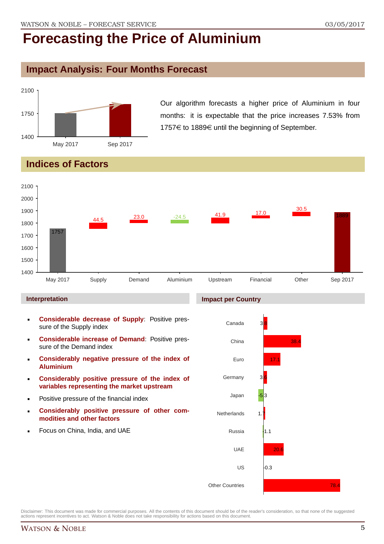#### **Impact Analysis: Four Months Forecast**



Our algorithm forecasts a higher price of Aluminium in four months: it is expectable that the price increases 7.53% from 1757 $\epsilon$  to 1889 $\epsilon$  until the beginning of September.

### **Indices of Factors**



#### **Interpretation**

- **Considerable decrease of Supply**: Positive pressure of the Supply index
- **Considerable increase of Demand**: Positive pressure of the Demand index
- **Considerably negative pressure of the index of Aluminium**
- **Considerably positive pressure of the index of variables representing the market upstream**
- Positive pressure of the financial index
- **Considerably positive pressure of other commodities and other factors**
- Focus on China, India, and UAE

#### **Impact per Country**



Disclaimer: This document was made for commercial purposes. All the contents of this document should be of the reader's consideration, so that none of the suggested actions represent incentives to act. Watson & Noble does not take responsibility for actions based on this document.

78.4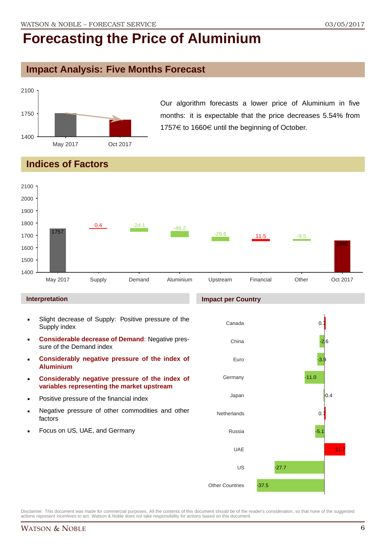#### **Impact Analysis: Five Months Forecast**



Our algorithm forecasts a lower price of Aluminium in five months: it is expectable that the price decreases 5.54% from 1757€ to 1660€ until the beginning of October.

### **Indices of Factors**



Disclaimer: This document was made for commercial purposes. All the contents of this document should be of the reader's consideration, so that none of the suggested actions represent incentives to act. Watson & Noble does not take responsibility for actions based on this document.

UAE

US

-27.7

-37.5

Other Countries

11.7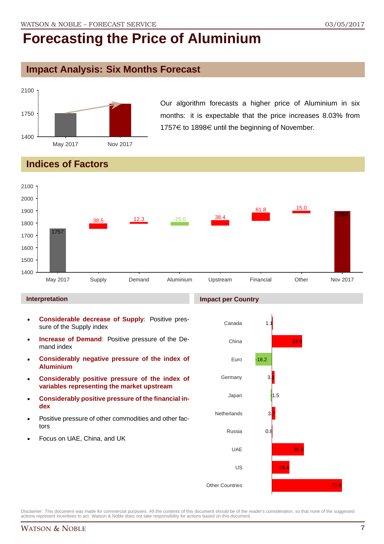#### **Impact Analysis: Six Months Forecast**



Our algorithm forecasts a higher price of Aluminium in six months: it is expectable that the price increases 8.03% from 1757€ to 1898€ until the beginning of November.

### **Indices of Factors**



**Impact per Country**

#### **Interpretation**

- **Considerable decrease of Supply**: Positive pressure of the Supply index
- **Increase of Demand**: Positive pressure of the Demand index
- **Considerably negative pressure of the index of Aluminium**
- **Considerably positive pressure of the index of variables representing the market upstream**
- **Considerably positive pressure of the financial index**
- Positive pressure of other commodities and other factors
- Focus on UAE, China, and UK

#### Canada China Euro **Germany** Japan **Netherlands** Russia UAE US Other Countries 1.1 33.8 -18.2 3.1 -1.5 3.7  $0.8$  $35.6$ 19.4

Disclaimer: This document was made for commercial purposes. All the contents of this document should be of the reader's consideration, so that none of the suggested actions represent incentives to act. Watson & Noble does not take responsibility for actions based on this document.

77.8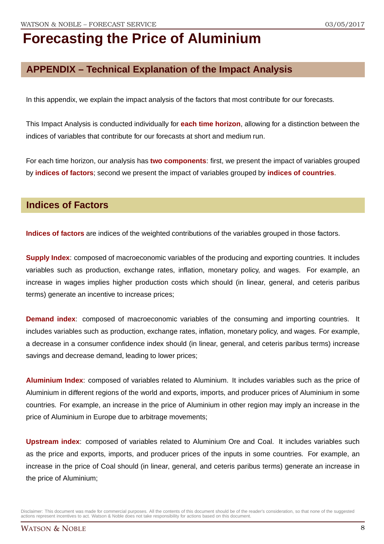### **APPENDIX – Technical Explanation of the Impact Analysis**

In this appendix, we explain the impact analysis of the factors that most contribute for our forecasts.

This Impact Analysis is conducted individually for **each time horizon**, allowing for a distinction between the indices of variables that contribute for our forecasts at short and medium run.

For each time horizon, our analysis has **two components**: first, we present the impact of variables grouped by **indices of factors**; second we present the impact of variables grouped by **indices of countries**.

#### **Indices of Factors**

**Indices of factors** are indices of the weighted contributions of the variables grouped in those factors.

**Supply Index**: composed of macroeconomic variables of the producing and exporting countries. It includes variables such as production, exchange rates, inflation, monetary policy, and wages. For example, an increase in wages implies higher production costs which should (in linear, general, and ceteris paribus terms) generate an incentive to increase prices;

**Demand index**: composed of macroeconomic variables of the consuming and importing countries. It includes variables such as production, exchange rates, inflation, monetary policy, and wages. For example, a decrease in a consumer confidence index should (in linear, general, and ceteris paribus terms) increase savings and decrease demand, leading to lower prices;

**Aluminium Index**: composed of variables related to Aluminium. It includes variables such as the price of Aluminium in different regions of the world and exports, imports, and producer prices of Aluminium in some countries. For example, an increase in the price of Aluminium in other region may imply an increase in the price of Aluminium in Europe due to arbitrage movements;

**Upstream index**: composed of variables related to Aluminium Ore and Coal. It includes variables such as the price and exports, imports, and producer prices of the inputs in some countries. For example, an increase in the price of Coal should (in linear, general, and ceteris paribus terms) generate an increase in the price of Aluminium;